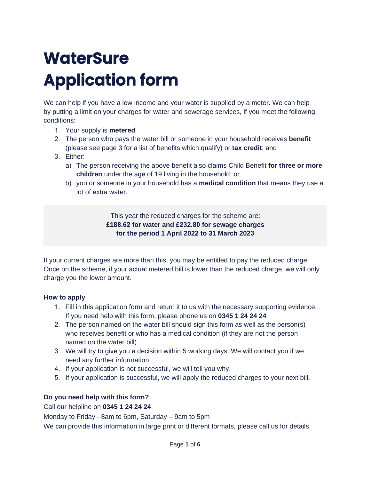# **WaterSure Application form**

We can help if you have a low income and your water is supplied by a meter. We can help by putting a limit on your charges for water and sewerage services, if you meet the following conditions:

- 1. Your supply is **metered**
- 2. The person who pays the water bill or someone in your household receives **benefit** (please see page 3 for a list of benefits which qualify) or **tax credit**; and
- 3. Either:
	- a) The person receiving the above benefit also claims Child Benefit **for three or more children** under the age of 19 living in the household; or
	- b) you or someone in your household has a **medical condition** that means they use a lot of extra water.

This year the reduced charges for the scheme are: **£188.62 for water and £232.80 for sewage charges for the period 1 April 2022 to 31 March 2023**

If your current charges are more than this, you may be entitled to pay the reduced charge. Once on the scheme, if your actual metered bill is lower than the reduced charge, we will only charge you the lower amount.

## **How to apply**

- 1. Fill in this application form and return it to us with the necessary supporting evidence. If you need help with this form, please phone us on **[0345 1 24 24 24](tel:03451242424)**
- 2. The person named on the water bill should sign this form as well as the person(s) who receives benefit or who has a medical condition (if they are not the person named on the water bill)
- 3. We will try to give you a decision within 5 working days. We will contact you if we need any further information.
- 4. If your application is not successful, we will tell you why.
- 5. If your application is successful, we will apply the reduced charges to your next bill.

## **Do you need help with this form?**

Call our helpline on **[0345 1 24 24 24](tel:03451242424)**

Monday to Friday - 8am to 6pm, Saturday – 9am to 5pm

We can provide this information in large print or different formats, please call us for details.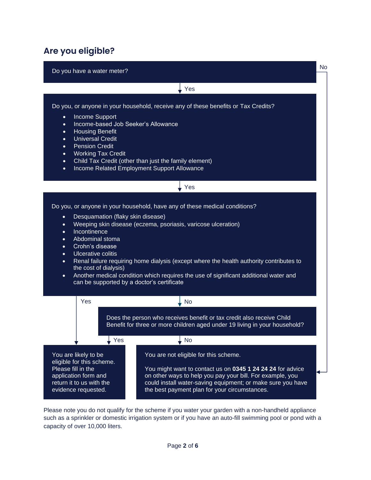# **Are you eligible?**

Do you have a water meter?

Yes

No

Do you, or anyone in your household, receive any of these benefits or Tax Credits?

- Income Support
- Income-based Job Seeker's Allowance
- Housing Benefit
- Universal Credit
- Pension Credit
- Working Tax Credit
- Child Tax Credit (other than just the family element)
- Income Related Employment Support Allowance

#### Yes

Do you, or anyone in your household, have any of these medical conditions?

- Desquamation (flaky skin disease)
- Weeping skin disease (eczema, psoriasis, varicose ulceration)
- **Incontinence**
- Abdominal stoma
- Crohn's disease
- Ulcerative colitis
- Renal failure requiring home dialysis (except where the health authority contributes to the cost of dialysis)
- Another medical condition which requires the use of significant additional water and can be supported by a doctor's certificate



Please note you do not qualify for the scheme if you water your garden with a non-handheld appliance such as a sprinkler or domestic irrigation system or if you have an auto-fill swimming pool or pond with a capacity of over 10,000 liters.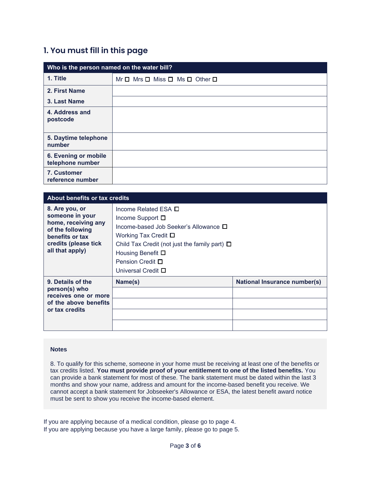## **1. You must fill in this page**

| Who is the person named on the water bill? |                                                         |  |
|--------------------------------------------|---------------------------------------------------------|--|
| 1. Title                                   | $Mr \Box$ Mrs $\Box$ Miss $\Box$ Ms $\Box$ Other $\Box$ |  |
| 2. First Name                              |                                                         |  |
| 3. Last Name                               |                                                         |  |
| 4. Address and<br>postcode                 |                                                         |  |
| 5. Daytime telephone<br>number             |                                                         |  |
| 6. Evening or mobile<br>telephone number   |                                                         |  |
| 7. Customer<br>reference number            |                                                         |  |

| About benefits or tax credits                                                                                                              |                                                                                                                                                                                                                                                                          |                                     |  |
|--------------------------------------------------------------------------------------------------------------------------------------------|--------------------------------------------------------------------------------------------------------------------------------------------------------------------------------------------------------------------------------------------------------------------------|-------------------------------------|--|
| 8. Are you, or<br>someone in your<br>home, receiving any<br>of the following<br>benefits or tax<br>credits (please tick<br>all that apply) | Income Related ESA $\Box$<br>Income Support $\Box$<br>Income-based Job Seeker's Allowance $\square$<br>Working Tax Credit $\square$<br>Child Tax Credit (not just the family part) $\square$<br>Housing Benefit $\Box$<br>Pension Credit □<br>Universal Credit $\square$ |                                     |  |
| 9. Details of the<br>person(s) who<br>receives one or more<br>of the above benefits<br>or tax credits                                      | Name(s)                                                                                                                                                                                                                                                                  | <b>National Insurance number(s)</b> |  |

#### **Notes**

8. To qualify for this scheme, someone in your home must be receiving at least one of the benefits or tax credits listed. **You must provide proof of your entitlement to one of the listed benefits.** You can provide a bank statement for most of these. The bank statement must be dated within the last 3 months and show your name, address and amount for the income-based benefit you receive. We cannot accept a bank statement for Jobseeker's Allowance or ESA, the latest benefit award notice must be sent to show you receive the income-based element.

If you are applying because of a medical condition, please go to page 4. If you are applying because you have a large family, please go to page 5.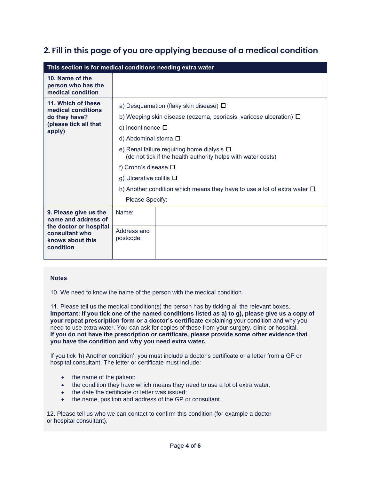# **2. Fill in this page of you are applying because of a medical condition**

| This section is for medical conditions needing extra water                                                                |                                                                                                                                                                                                                                                                                                                                                                                                                                                                               |  |  |
|---------------------------------------------------------------------------------------------------------------------------|-------------------------------------------------------------------------------------------------------------------------------------------------------------------------------------------------------------------------------------------------------------------------------------------------------------------------------------------------------------------------------------------------------------------------------------------------------------------------------|--|--|
| 10. Name of the<br>person who has the<br>medical condition                                                                |                                                                                                                                                                                                                                                                                                                                                                                                                                                                               |  |  |
| 11. Which of these<br>medical conditions<br>do they have?<br>(please tick all that<br>apply)                              | a) Desquamation (flaky skin disease) $\Box$<br>b) Weeping skin disease (eczema, psoriasis, varicose ulceration) $\Box$<br>c) Incontinence $\square$<br>d) Abdominal stoma $\square$<br>e) Renal failure requiring home dialysis $\Box$<br>(do not tick if the health authority helps with water costs)<br>f) Crohn's disease $\square$<br>g) Ulcerative colitis $\square$<br>h) Another condition which means they have to use a lot of extra water $\Box$<br>Please Specify: |  |  |
| 9. Please give us the<br>name and address of<br>the doctor or hospital<br>consultant who<br>knows about this<br>condition | Name:                                                                                                                                                                                                                                                                                                                                                                                                                                                                         |  |  |
|                                                                                                                           | Address and<br>postcode:                                                                                                                                                                                                                                                                                                                                                                                                                                                      |  |  |

#### **Notes**

10. We need to know the name of the person with the medical condition

11. Please tell us the medical condition(s) the person has by ticking all the relevant boxes. **Important: If you tick one of the named conditions listed as a) to g), please give us a copy of your repeat prescription form or a doctor's certificate** explaining your condition and why you need to use extra water. You can ask for copies of these from your surgery, clinic or hospital. **If you do not have the prescription or certificate, please provide some other evidence that you have the condition and why you need extra water.**

If you tick 'h) Another condition', you must include a doctor's certificate or a letter from a GP or hospital consultant. The letter or certificate must include:

- the name of the patient:
- the condition they have which means they need to use a lot of extra water;
- the date the certificate or letter was issued;
- the name, position and address of the GP or consultant.

12. Please tell us who we can contact to confirm this condition (for example a doctor or hospital consultant).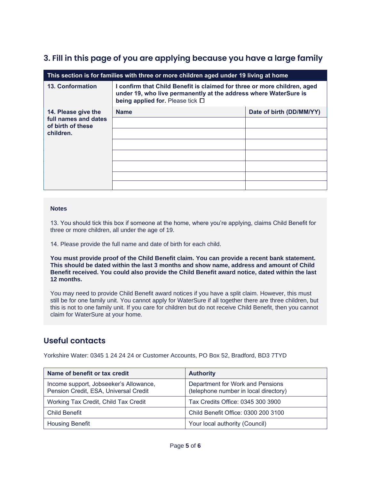# **3. Fill in this page of you are applying because you have a large family**

| This section is for families with three or more children aged under 19 living at home |                                                                                                                                                                                  |                          |  |  |
|---------------------------------------------------------------------------------------|----------------------------------------------------------------------------------------------------------------------------------------------------------------------------------|--------------------------|--|--|
| <b>13. Conformation</b>                                                               | I confirm that Child Benefit is claimed for three or more children, aged<br>under 19, who live permanently at the address where WaterSure is<br>being applied for. Please tick □ |                          |  |  |
| 14. Please give the<br>full names and dates<br>of birth of these<br>children.         | <b>Name</b>                                                                                                                                                                      | Date of birth (DD/MM/YY) |  |  |
|                                                                                       |                                                                                                                                                                                  |                          |  |  |
|                                                                                       |                                                                                                                                                                                  |                          |  |  |
|                                                                                       |                                                                                                                                                                                  |                          |  |  |
|                                                                                       |                                                                                                                                                                                  |                          |  |  |
|                                                                                       |                                                                                                                                                                                  |                          |  |  |
|                                                                                       |                                                                                                                                                                                  |                          |  |  |
|                                                                                       |                                                                                                                                                                                  |                          |  |  |

#### **Notes**

13. You should tick this box if someone at the home, where you're applying, claims Child Benefit for three or more children, all under the age of 19.

14. Please provide the full name and date of birth for each child.

**You must provide proof of the Child Benefit claim. You can provide a recent bank statement. This should be dated within the last 3 months and show name, address and amount of Child Benefit received. You could also provide the Child Benefit award notice, dated within the last 12 months.** 

You may need to provide Child Benefit award notices if you have a split claim. However, this must still be for one family unit. You cannot apply for WaterSure if all together there are three children, but this is not to one family unit. If you care for children but do not receive Child Benefit, then you cannot claim for WaterSure at your home.

## **Useful contacts**

Yorkshire Water: 0345 1 24 24 24 or Customer Accounts, PO Box 52, Bradford, BD3 7TYD

| Name of benefit or tax credit                                                   | <b>Authority</b>                                                          |  |
|---------------------------------------------------------------------------------|---------------------------------------------------------------------------|--|
| Income support, Jobseeker's Allowance,<br>Pension Credit, ESA, Universal Credit | Department for Work and Pensions<br>(telephone number in local directory) |  |
| Working Tax Credit, Child Tax Credit                                            | Tax Credits Office: 0345 300 3900                                         |  |
| <b>Child Benefit</b>                                                            | Child Benefit Office: 0300 200 3100                                       |  |
| <b>Housing Benefit</b>                                                          | Your local authority (Council)                                            |  |